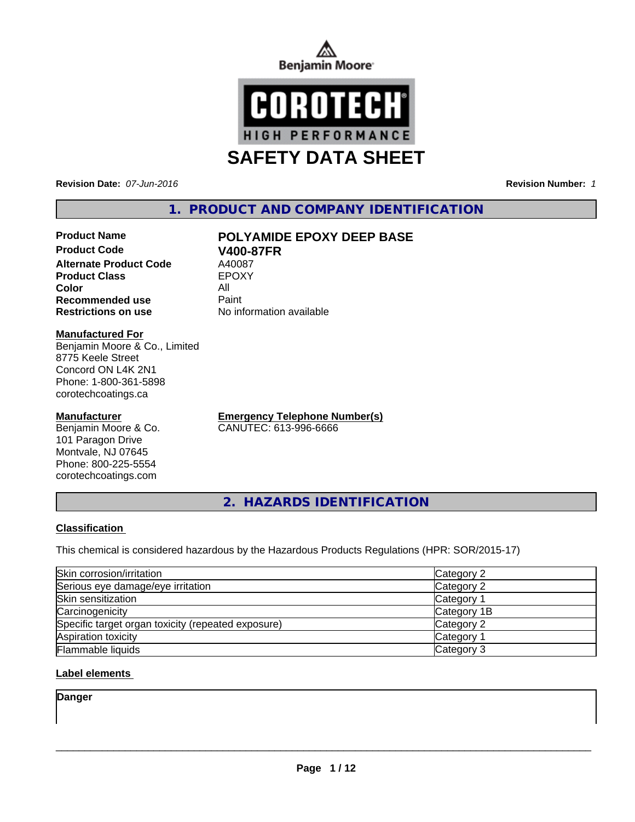



**Revision Date:** *07-Jun-2016* **Revision Number:** *1*

## **1. PRODUCT AND COMPANY IDENTIFICATION**

## **Product Code V400-87FR**<br> **Alternate Product Code** A40087 **Alternate Product Code** A40087<br> **Product Class** EPOXY **Product Class Color** All **Recommended use Paint**

## **Product Name POLYAMIDE EPOXY DEEP BASE**

**Restrictions on use** No information available

#### **Manufactured For**

Benjamin Moore & Co., Limited 8775 Keele Street Concord ON L4K 2N1 Phone: 1-800-361-5898 corotechcoatings.ca

## **Manufacturer**

Benjamin Moore & Co. 101 Paragon Drive Montvale, NJ 07645 Phone: 800-225-5554 corotechcoatings.com

**Emergency Telephone Number(s)** CANUTEC: 613-996-6666

**2. HAZARDS IDENTIFICATION**

## **Classification**

This chemical is considered hazardous by the Hazardous Products Regulations (HPR: SOR/2015-17)

| Skin corrosion/irritation                          | Category 2        |
|----------------------------------------------------|-------------------|
| Serious eye damage/eye irritation                  | Category 2        |
| Skin sensitization                                 | <b>Category 1</b> |
| Carcinogenicity                                    | Category 1B       |
| Specific target organ toxicity (repeated exposure) | Category 2        |
| Aspiration toxicity                                | Category 1        |
| <b>Flammable liquids</b>                           | Category 3        |

## **Label elements**

**Danger**

 $\overline{\phantom{a}}$  ,  $\overline{\phantom{a}}$  ,  $\overline{\phantom{a}}$  ,  $\overline{\phantom{a}}$  ,  $\overline{\phantom{a}}$  ,  $\overline{\phantom{a}}$  ,  $\overline{\phantom{a}}$  ,  $\overline{\phantom{a}}$  ,  $\overline{\phantom{a}}$  ,  $\overline{\phantom{a}}$  ,  $\overline{\phantom{a}}$  ,  $\overline{\phantom{a}}$  ,  $\overline{\phantom{a}}$  ,  $\overline{\phantom{a}}$  ,  $\overline{\phantom{a}}$  ,  $\overline{\phantom{a}}$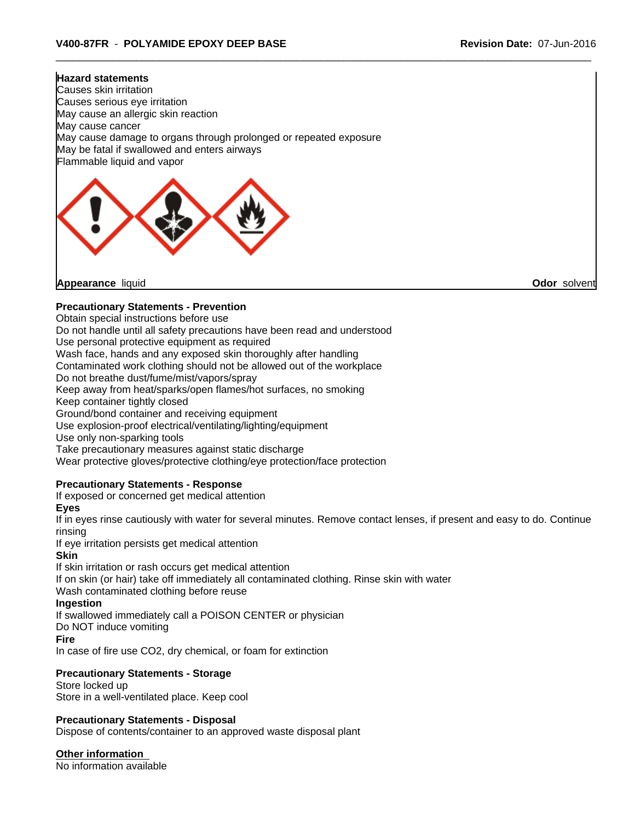# **Hazard statements** Causes skin irritation Causes serious eye irritation May cause an allergic skin reaction May cause cancer May cause damage to organs through prolonged or repeated exposure May be fatal if swallowed and enters airways Flammable liquid and vapor

**Appearance** liquid **Odor** solvent

## **Precautionary Statements - Prevention**

Obtain special instructions before use

Do not handle until all safety precautions have been read and understood

Use personal protective equipment as required

Wash face, hands and any exposed skin thoroughly after handling

Contaminated work clothing should not be allowed out of the workplace

Do not breathe dust/fume/mist/vapors/spray

Keep away from heat/sparks/open flames/hot surfaces, no smoking

Keep container tightly closed

Ground/bond container and receiving equipment

Use explosion-proof electrical/ventilating/lighting/equipment

Use only non-sparking tools

Take precautionary measures against static discharge

Wear protective gloves/protective clothing/eye protection/face protection

## **Precautionary Statements - Response**

If exposed or concerned get medical attention

**Eyes**

If in eyes rinse cautiously with water for several minutes. Remove contact lenses, if present and easy to do. Continue rinsing

If eye irritation persists get medical attention

#### **Skin**

If skin irritation or rash occurs get medical attention If on skin (or hair) take off immediately all contaminated clothing. Rinse skin with water Wash contaminated clothing before reuse

## **Ingestion**

If swallowed immediately call a POISON CENTER or physician

Do NOT induce vomiting

#### **Fire**

In case of fire use CO2, dry chemical, or foam for extinction

## **Precautionary Statements - Storage**

Store locked up Store in a well-ventilated place. Keep cool

## **Precautionary Statements - Disposal**

Dispose of contents/container to an approved waste disposal plant

**Other information**

No information available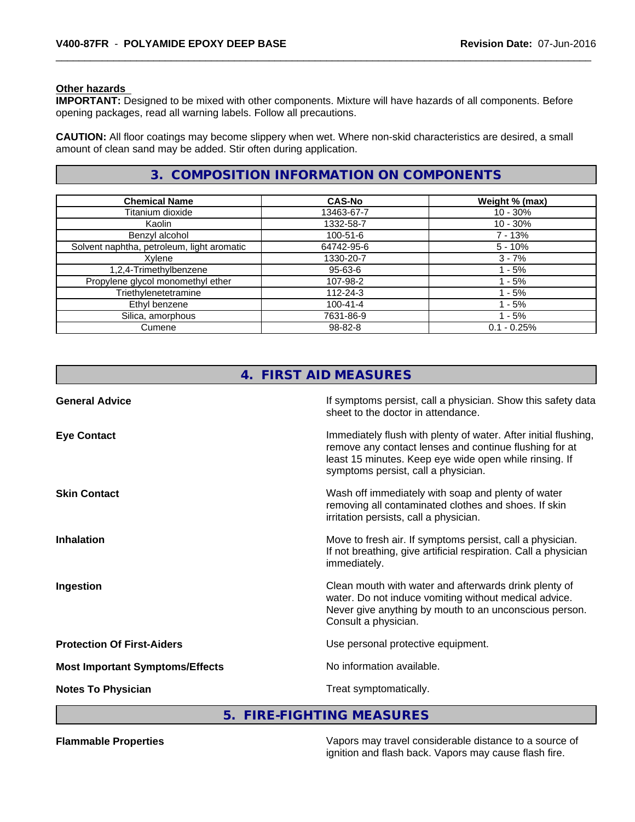#### **Other hazards**

**IMPORTANT:** Designed to be mixed with other components. Mixture will have hazards of all components. Before opening packages, read all warning labels. Follow all precautions.

**CAUTION:** All floor coatings may become slippery when wet. Where non-skid characteristics are desired, a small amount of clean sand may be added. Stir often during application.

## **3. COMPOSITION INFORMATION ON COMPONENTS**

| <b>Chemical Name</b>                       | <b>CAS-No</b>  | Weight % (max) |
|--------------------------------------------|----------------|----------------|
| Titanium dioxide                           | 13463-67-7     | $10 - 30\%$    |
| Kaolin                                     | 1332-58-7      | $10 - 30\%$    |
| Benzyl alcohol                             | $100 - 51 - 6$ | 7 - 13%        |
| Solvent naphtha, petroleum, light aromatic | 64742-95-6     | $5 - 10%$      |
| Xylene                                     | 1330-20-7      | $3 - 7%$       |
| 1,2,4-Trimethylbenzene                     | 95-63-6        | - 5%           |
| Propylene glycol monomethyl ether          | 107-98-2       | - 5%           |
| Triethylenetetramine                       | 112-24-3       | - 5%           |
| Ethyl benzene                              | $100 - 41 - 4$ | - 5%           |
| Silica, amorphous                          | 7631-86-9      | - 5%           |
| Cumene                                     | 98-82-8        | $0.1 - 0.25%$  |

|                                        | 4. FIRST AID MEASURES                                                                                                                                                                                                      |
|----------------------------------------|----------------------------------------------------------------------------------------------------------------------------------------------------------------------------------------------------------------------------|
| <b>General Advice</b>                  | If symptoms persist, call a physician. Show this safety data<br>sheet to the doctor in attendance.                                                                                                                         |
| <b>Eye Contact</b>                     | Immediately flush with plenty of water. After initial flushing,<br>remove any contact lenses and continue flushing for at<br>least 15 minutes. Keep eye wide open while rinsing. If<br>symptoms persist, call a physician. |
| <b>Skin Contact</b>                    | Wash off immediately with soap and plenty of water<br>removing all contaminated clothes and shoes. If skin<br>irritation persists, call a physician.                                                                       |
| <b>Inhalation</b>                      | Move to fresh air. If symptoms persist, call a physician.<br>If not breathing, give artificial respiration. Call a physician<br>immediately.                                                                               |
| Ingestion                              | Clean mouth with water and afterwards drink plenty of<br>water. Do not induce vomiting without medical advice.<br>Never give anything by mouth to an unconscious person.<br>Consult a physician.                           |
| <b>Protection Of First-Aiders</b>      | Use personal protective equipment.                                                                                                                                                                                         |
| <b>Most Important Symptoms/Effects</b> | No information available.                                                                                                                                                                                                  |
| <b>Notes To Physician</b>              | Treat symptomatically.                                                                                                                                                                                                     |

## **5. FIRE-FIGHTING MEASURES**

**Flammable Properties** Vapors may travel considerable distance to a source of ignition and flash back. Vapors may cause flash fire.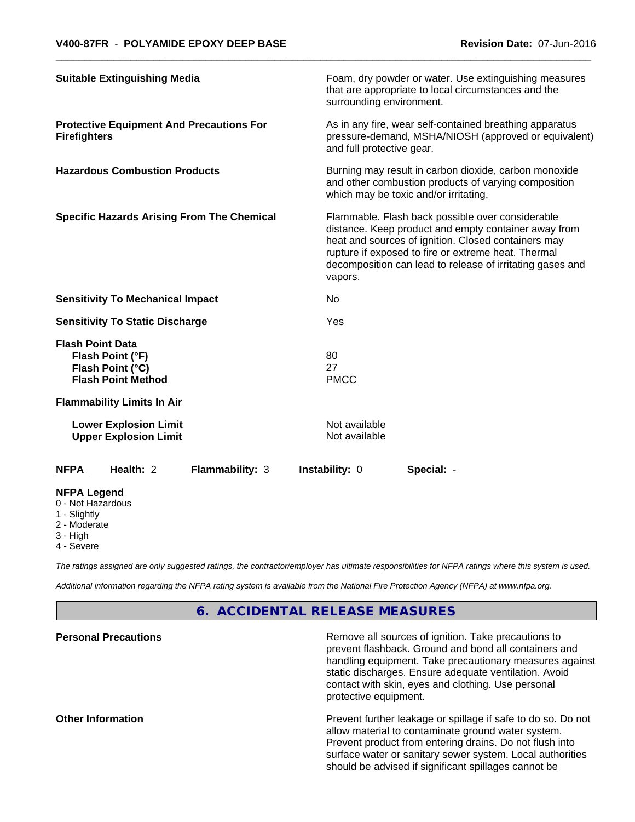| <b>Suitable Extinguishing Media</b>                                                          |                        | surrounding environment.       | Foam, dry powder or water. Use extinguishing measures<br>that are appropriate to local circumstances and the                                                                                                                                                                        |
|----------------------------------------------------------------------------------------------|------------------------|--------------------------------|-------------------------------------------------------------------------------------------------------------------------------------------------------------------------------------------------------------------------------------------------------------------------------------|
| <b>Protective Equipment And Precautions For</b><br><b>Firefighters</b>                       |                        | and full protective gear.      | As in any fire, wear self-contained breathing apparatus<br>pressure-demand, MSHA/NIOSH (approved or equivalent)                                                                                                                                                                     |
| <b>Hazardous Combustion Products</b>                                                         |                        |                                | Burning may result in carbon dioxide, carbon monoxide<br>and other combustion products of varying composition<br>which may be toxic and/or irritating.                                                                                                                              |
| <b>Specific Hazards Arising From The Chemical</b>                                            |                        | vapors.                        | Flammable. Flash back possible over considerable<br>distance. Keep product and empty container away from<br>heat and sources of ignition. Closed containers may<br>rupture if exposed to fire or extreme heat. Thermal<br>decomposition can lead to release of irritating gases and |
| <b>Sensitivity To Mechanical Impact</b>                                                      |                        | No                             |                                                                                                                                                                                                                                                                                     |
| <b>Sensitivity To Static Discharge</b>                                                       |                        | Yes                            |                                                                                                                                                                                                                                                                                     |
| <b>Flash Point Data</b><br>Flash Point (°F)<br>Flash Point (°C)<br><b>Flash Point Method</b> |                        | 80<br>27<br><b>PMCC</b>        |                                                                                                                                                                                                                                                                                     |
| <b>Flammability Limits In Air</b>                                                            |                        |                                |                                                                                                                                                                                                                                                                                     |
| <b>Lower Explosion Limit</b><br><b>Upper Explosion Limit</b>                                 |                        | Not available<br>Not available |                                                                                                                                                                                                                                                                                     |
| Health: 2<br><b>NFPA</b>                                                                     | <b>Flammability: 3</b> | Instability: 0                 | Special: -                                                                                                                                                                                                                                                                          |
| <b>NFPA Legend</b><br>0 - Not Hazardous<br>1 - Slightly<br>2 - Moderate                      |                        |                                |                                                                                                                                                                                                                                                                                     |

- 
- 3 High
- 4 Severe

*The ratings assigned are only suggested ratings, the contractor/employer has ultimate responsibilities for NFPA ratings where this system is used.*

*Additional information regarding the NFPA rating system is available from the National Fire Protection Agency (NFPA) at www.nfpa.org.*

## **6. ACCIDENTAL RELEASE MEASURES**

| <b>Personal Precautions</b> | Remove all sources of ignition. Take precautions to<br>prevent flashback. Ground and bond all containers and<br>handling equipment. Take precautionary measures against<br>static discharges. Ensure adequate ventilation. Avoid<br>contact with skin, eyes and clothing. Use personal<br>protective equipment. |
|-----------------------------|-----------------------------------------------------------------------------------------------------------------------------------------------------------------------------------------------------------------------------------------------------------------------------------------------------------------|
| <b>Other Information</b>    | Prevent further leakage or spillage if safe to do so. Do not<br>allow material to contaminate ground water system.<br>Prevent product from entering drains. Do not flush into<br>surface water or sanitary sewer system. Local authorities<br>should be advised if significant spillages cannot be              |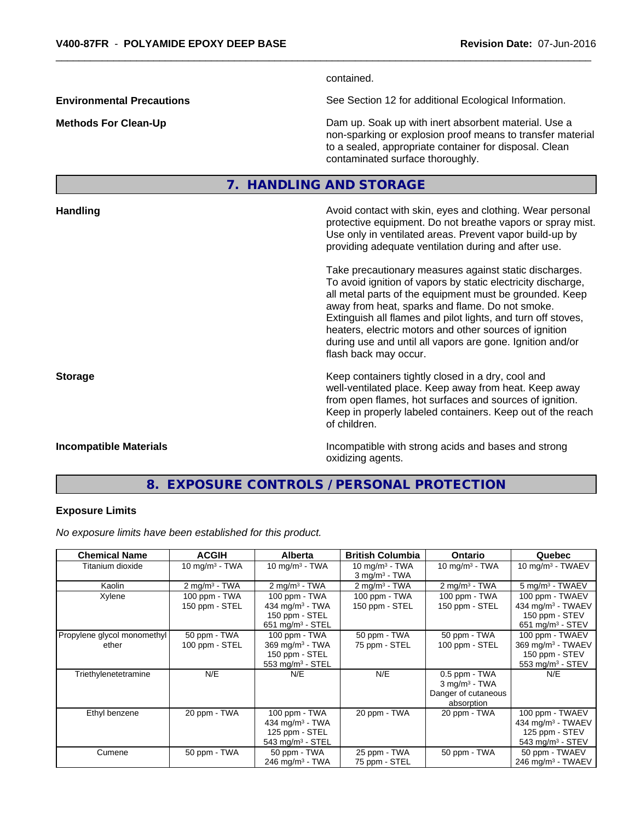contained. **Environmental Precautions** See Section 12 for additional Ecological Information. **Methods For Clean-Up Clean-Up Example 20** Dam up. Soak up with inert absorbent material. Use a non-sparking or explosion proof means to transfer material to a sealed, appropriate container for disposal. Clean contaminated surface thoroughly. **7. HANDLING AND STORAGE Handling Handling Avoid contact with skin, eyes and clothing. Wear personal and results and clothing. Wear personal** protective equipment. Do not breathe vapors or spray mist. Use only in ventilated areas. Prevent vapor build-up by providing adequate ventilation during and after use. Take precautionary measures against static discharges. To avoid ignition of vapors by static electricity discharge, all metal parts of the equipment must be grounded. Keep away from heat, sparks and flame. Do not smoke. Extinguish all flames and pilot lights, and turn off stoves, heaters, electric motors and other sources of ignition during use and until all vapors are gone. Ignition and/or flash back may occur. **Storage Keep containers tightly closed in a dry, cool and get a dry and structure in a dry and structure in a dry and structure in a dry and structure in a dry and structure in a dry and structure in a dry and structure** well-ventilated place. Keep away from heat. Keep away from open flames, hot surfaces and sources of ignition. Keep in properly labeled containers. Keep out of the reach of children.

**Incompatible Materials Incompatible with strong acids and bases and strong** oxidizing agents.

## **8. EXPOSURE CONTROLS / PERSONAL PROTECTION**

#### **Exposure Limits**

*No exposure limits have been established for this product.*

| <b>Chemical Name</b>        | <b>ACGIH</b>              | <b>Alberta</b>                 | <b>British Columbia</b>     | <b>Ontario</b>              | Quebec                         |
|-----------------------------|---------------------------|--------------------------------|-----------------------------|-----------------------------|--------------------------------|
| Titanium dioxide            | $10 \text{ mg/m}^3$ - TWA | 10 mg/m $3$ - TWA              | $10 \text{ mg/m}^3$ - TWA   | 10 mg/m $3$ - TWA           | 10 mg/m $3$ - TWAEV            |
|                             |                           |                                | $3$ mg/m <sup>3</sup> - TWA |                             |                                |
| Kaolin                      | $2 \text{ mg/m}^3$ - TWA  | $2 \text{ mg/m}^3$ - TWA       | $2 \text{ mg/m}^3$ - TWA    | $2 \text{ mg/m}^3$ - TWA    | 5 mg/m <sup>3</sup> - TWAEV    |
| Xylene                      | 100 ppm - TWA             | 100 ppm - TWA                  | 100 ppm - TWA               | 100 ppm - TWA               | 100 ppm - TWAEV                |
|                             | 150 ppm - STEL            | 434 mg/m <sup>3</sup> - TWA    | 150 ppm - STEL              | 150 ppm - STEL              | 434 mg/m <sup>3</sup> - TWAEV  |
|                             |                           | 150 ppm - STEL                 |                             |                             | 150 ppm - STEV                 |
|                             |                           | $651$ mg/m <sup>3</sup> - STEL |                             |                             | $651$ mg/m <sup>3</sup> - STEV |
| Propylene glycol monomethyl | 50 ppm - TWA              | 100 ppm - TWA                  | 50 ppm - TWA                | 50 ppm - TWA                | 100 ppm - TWAEV                |
| ether                       | 100 ppm - STEL            | 369 mg/m $^3$ - TWA            | 75 ppm - STEL               | 100 ppm - STEL              | 369 mg/m <sup>3</sup> - TWAEV  |
|                             |                           | 150 ppm - STEL                 |                             |                             | 150 ppm - STEV                 |
|                             |                           | 553 mg/m $3 -$ STEL            |                             |                             | 553 mg/m <sup>3</sup> - STEV   |
| Triethylenetetramine        | N/E                       | N/E                            | N/E                         | $0.5$ ppm $-$ TWA           | N/E                            |
|                             |                           |                                |                             | $3$ mg/m <sup>3</sup> - TWA |                                |
|                             |                           |                                |                             | Danger of cutaneous         |                                |
|                             |                           |                                |                             | absorption                  |                                |
| Ethyl benzene               | 20 ppm - TWA              | 100 ppm - TWA                  | 20 ppm - TWA                | 20 ppm - TWA                | 100 ppm - TWAEV                |
|                             |                           | 434 mg/m <sup>3</sup> - TWA    |                             |                             | 434 mg/m <sup>3</sup> - TWAEV  |
|                             |                           | 125 ppm - STEL                 |                             |                             | 125 ppm - STEV                 |
|                             |                           | $543$ mg/m <sup>3</sup> - STEL |                             |                             | $543$ mg/m <sup>3</sup> - STEV |
| Cumene                      | 50 ppm - TWA              | 50 ppm - TWA                   | 25 ppm - TWA                | 50 ppm - TWA                | 50 ppm - TWAEV                 |
|                             |                           | 246 mg/m <sup>3</sup> - TWA    | 75 ppm - STEL               |                             | 246 mg/m <sup>3</sup> - TWAEV  |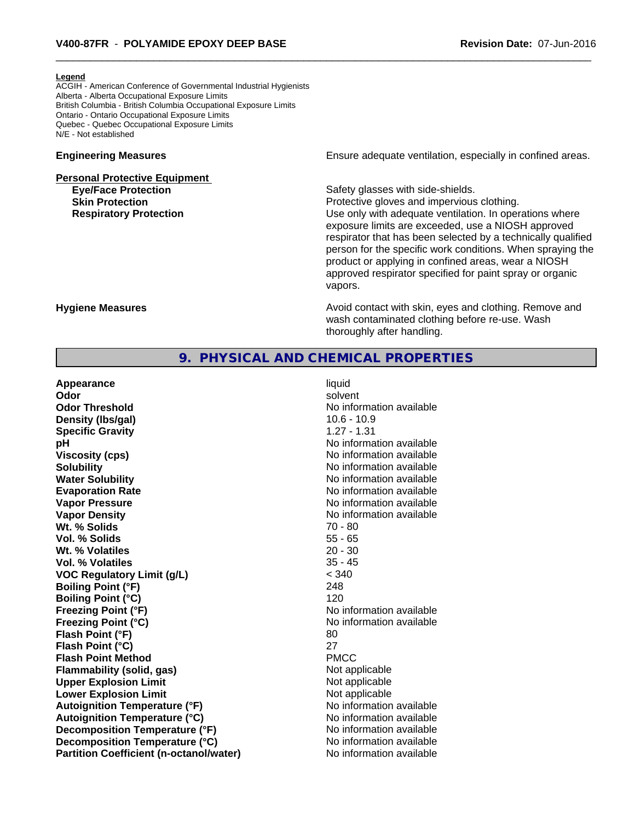#### **Legend**

ACGIH - American Conference of Governmental Industrial Hygienists Alberta - Alberta Occupational Exposure Limits British Columbia - British Columbia Occupational Exposure Limits Ontario - Ontario Occupational Exposure Limits Quebec - Quebec Occupational Exposure Limits N/E - Not established

# **Personal Protective Equipment Eve/Face Protection Safety glasses with side-shields.**

**Engineering Measures Ensure** Ensure adequate ventilation, especially in confined areas.

**Skin Protection Protection Protective gloves and impervious clothing. Respiratory Protection Network 1** and Use only with adequate ventilation. In operations where exposure limits are exceeded, use a NIOSH approved respirator that has been selected by a technically qualified person for the specific work conditions. When spraying the product or applying in confined areas, wear a NIOSH approved respirator specified for paint spray or organic vapors.

**Hygiene Measures Avoid contact with skin, eyes and clothing. Remove and Avoid contact with skin, eyes and clothing. Remove and Avoid contact with skin, eyes and clothing. Remove and** wash contaminated clothing before re-use. Wash thoroughly after handling.

## **9. PHYSICAL AND CHEMICAL PROPERTIES**

**Appearance** liquid **Odor** solvent **Odor Threshold** No information available **Density (lbs/gal)** 10.6 - 10.9 **Specific Gravity** 1.27 - 1.31 **pH pH**  $\blacksquare$ **Viscosity (cps)** No information available **Solubility No information available No information available Water Solubility No information available No information available Evaporation Rate No information available No information available Vapor Pressure** No information available No information available **Vapor Density No information available No information available Wt. % Solids** 70 - 80 **Vol. % Solids** 55 - 65 **Wt. % Volatiles** 20 - 30 **Vol. % Volatiles** 35 - 45 **VOC Regulatory Limit (g/L)** < 340 **Boiling Point (°F)** 248 **Boiling Point (°C)** 120 **Freezing Point (°F)**<br> **Freezing Point (°C)**<br> **Freezing Point (°C)**<br> **No** information available **Flash Point (°F)** 80 **Flash Point (°C)** 27 **Flash Point Method** PMCC **Flammability (solid, gas)** Not applicable **Upper Explosion Limit**<br> **Lower Explosion Limit** Not applicable<br>
Not applicable **Lower Explosion Limit Autoignition Temperature (°F)** No information available **Autoignition Temperature (°C)** No information available **Decomposition Temperature (°F)** No information available **Decomposition Temperature (°C)** No information available **Partition Coefficient (n-octanol/water)** No information available

**Freezing Point (°C)** No information available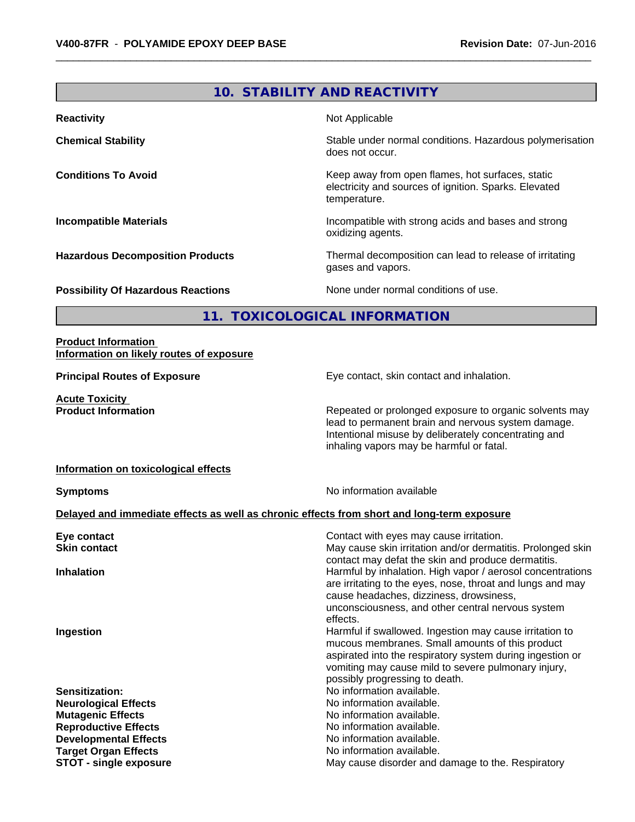## **10. STABILITY AND REACTIVITY**

| <b>Reactivity</b>                         | Not Applicable                                                                                                            |
|-------------------------------------------|---------------------------------------------------------------------------------------------------------------------------|
| <b>Chemical Stability</b>                 | Stable under normal conditions. Hazardous polymerisation<br>does not occur.                                               |
| <b>Conditions To Avoid</b>                | Keep away from open flames, hot surfaces, static<br>electricity and sources of ignition. Sparks. Elevated<br>temperature. |
| <b>Incompatible Materials</b>             | Incompatible with strong acids and bases and strong<br>oxidizing agents.                                                  |
| <b>Hazardous Decomposition Products</b>   | Thermal decomposition can lead to release of irritating<br>gases and vapors.                                              |
| <b>Possibility Of Hazardous Reactions</b> | None under normal conditions of use.                                                                                      |

**11. TOXICOLOGICAL INFORMATION**

#### **Product Information Information on likely routes of exposure**

**Acute Toxicity<br>Product Information** 

**Principal Routes of Exposure Exposure** Eye contact, skin contact and inhalation.

Repeated or prolonged exposure to organic solvents may lead to permanent brain and nervous system damage. Intentional misuse by deliberately concentrating and inhaling vapors may be harmful or fatal.

### **Information on toxicological effects**

**Symptoms** No information available

## **Delayed and immediate effects as well as chronic effects from short and long-term exposure**

| Eye contact                   | Contact with eyes may cause irritation.                                                                          |
|-------------------------------|------------------------------------------------------------------------------------------------------------------|
| <b>Skin contact</b>           | May cause skin irritation and/or dermatitis. Prolonged skin                                                      |
|                               | contact may defat the skin and produce dermatitis.<br>Harmful by inhalation. High vapor / aerosol concentrations |
| <b>Inhalation</b>             | are irritating to the eyes, nose, throat and lungs and may                                                       |
|                               | cause headaches, dizziness, drowsiness,                                                                          |
|                               | unconsciousness, and other central nervous system                                                                |
|                               | effects.                                                                                                         |
| Ingestion                     | Harmful if swallowed. Ingestion may cause irritation to                                                          |
|                               | mucous membranes. Small amounts of this product                                                                  |
|                               | aspirated into the respiratory system during ingestion or                                                        |
|                               | vomiting may cause mild to severe pulmonary injury,                                                              |
|                               | possibly progressing to death.                                                                                   |
| <b>Sensitization:</b>         | No information available.                                                                                        |
| <b>Neurological Effects</b>   | No information available.                                                                                        |
| <b>Mutagenic Effects</b>      | No information available.                                                                                        |
| <b>Reproductive Effects</b>   | No information available.                                                                                        |
| <b>Developmental Effects</b>  | No information available.                                                                                        |
| <b>Target Organ Effects</b>   | No information available.                                                                                        |
| <b>STOT - single exposure</b> | May cause disorder and damage to the. Respiratory                                                                |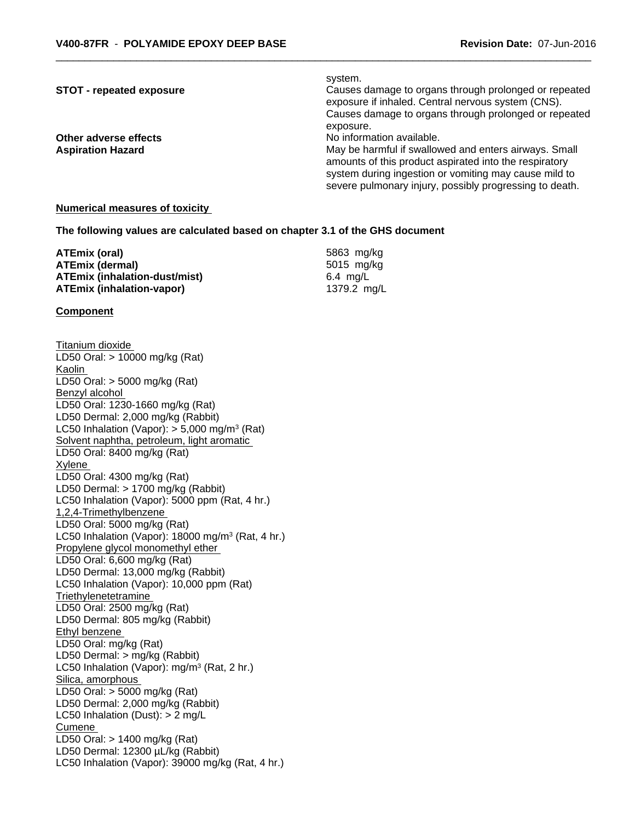#### system.

**STOT - repeated exposure** *Causes damage to organs through prolonged or repeated* exposure if inhaled. Central nervous system (CNS). Causes damage to organs through prolonged or repeated exposure.

**Other adverse effects** Noinformation available.

**Aspiration Hazard** May be harmful if swallowed and enters airways. Small amounts of this product aspirated into the respiratory system during ingestion or vomiting may cause mild to severe pulmonary injury, possibly progressing to death.

#### **Numerical measures of toxicity**

**The following values are calculated based on chapter 3.1 of the GHS document**

| ATEmix (oral)                        | 5863 mg/kg  |
|--------------------------------------|-------------|
| <b>ATEmix (dermal)</b>               | 5015 mg/kg  |
| <b>ATEmix (inhalation-dust/mist)</b> | 6.4 ma/L    |
| <b>ATEmix (inhalation-vapor)</b>     | 1379.2 ma/L |

#### **Component**

Titanium dioxide LD50 Oral: > 10000 mg/kg (Rat) Kaolin LD50 Oral: > 5000 mg/kg (Rat) Benzyl alcohol LD50 Oral: 1230-1660 mg/kg (Rat) LD50 Dermal: 2,000 mg/kg (Rabbit) LC50 Inhalation (Vapor): > 5,000 mg/m<sup>3</sup> (Rat) Solvent naphtha, petroleum, light aromatic LD50 Oral: 8400 mg/kg (Rat) Xylene LD50 Oral: 4300 mg/kg (Rat) LD50 Dermal: > 1700 mg/kg (Rabbit) LC50 Inhalation (Vapor): 5000 ppm (Rat, 4 hr.) 1,2,4-Trimethylbenzene LD50 Oral: 5000 mg/kg (Rat) LC50 Inhalation (Vapor): 18000 mg/m<sup>3</sup> (Rat, 4 hr.) Propylene glycol monomethyl ether LD50 Oral: 6,600 mg/kg (Rat) LD50 Dermal: 13,000 mg/kg (Rabbit) LC50 Inhalation (Vapor): 10,000 ppm (Rat) **Triethylenetetramine** LD50 Oral: 2500 mg/kg (Rat) LD50 Dermal: 805 mg/kg (Rabbit) Ethyl benzene LD50 Oral: mg/kg (Rat) LD50 Dermal: > mg/kg (Rabbit) LC50 Inhalation (Vapor): mg/m<sup>3</sup> (Rat, 2 hr.) Silica, amorphous LD50 Oral: > 5000 mg/kg (Rat) LD50 Dermal: 2,000 mg/kg (Rabbit) LC50 Inhalation (Dust): > 2 mg/L Cumene LD50 Oral: > 1400 mg/kg (Rat) LD50 Dermal: 12300 µL/kg (Rabbit) LC50 Inhalation (Vapor): 39000 mg/kg (Rat, 4 hr.)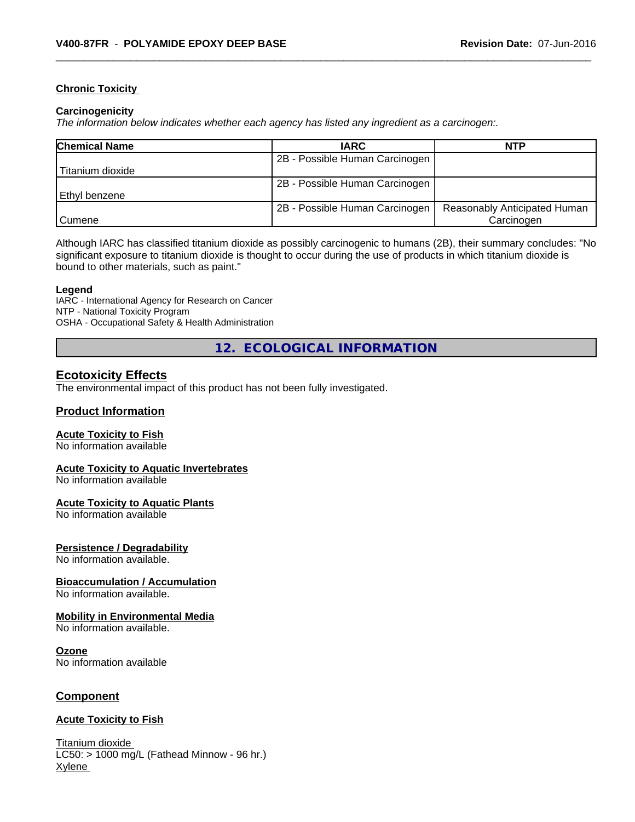### **Chronic Toxicity**

#### **Carcinogenicity**

*The information below indicateswhether each agency has listed any ingredient as a carcinogen:.*

| <b>Chemical Name</b> | <b>IARC</b>                    | <b>NTP</b>                   |
|----------------------|--------------------------------|------------------------------|
|                      | 2B - Possible Human Carcinogen |                              |
| Titanium dioxide     |                                |                              |
|                      | 2B - Possible Human Carcinogen |                              |
| l Ethvl benzene      |                                |                              |
|                      | 2B - Possible Human Carcinogen | Reasonably Anticipated Human |
| l Cumene             |                                | Carcinogen                   |

Although IARC has classified titanium dioxide as possibly carcinogenic to humans (2B), their summary concludes: "No significant exposure to titanium dioxide is thought to occur during the use of products in which titanium dioxide is bound to other materials, such as paint."

#### **Legend**

IARC - International Agency for Research on Cancer NTP - National Toxicity Program OSHA - Occupational Safety & Health Administration

**12. ECOLOGICAL INFORMATION**

## **Ecotoxicity Effects**

The environmental impact of this product has not been fully investigated.

### **Product Information**

#### **Acute Toxicity to Fish**

No information available

#### **Acute Toxicity to Aquatic Invertebrates**

No information available

#### **Acute Toxicity to Aquatic Plants**

No information available

#### **Persistence / Degradability**

No information available.

## **Bioaccumulation / Accumulation**

No information available.

## **Mobility in Environmental Media**

No information available.

#### **Ozone**

No information available

## **Component**

#### **Acute Toxicity to Fish**

Titanium dioxide  $LC50:$  > 1000 mg/L (Fathead Minnow - 96 hr.) Xylene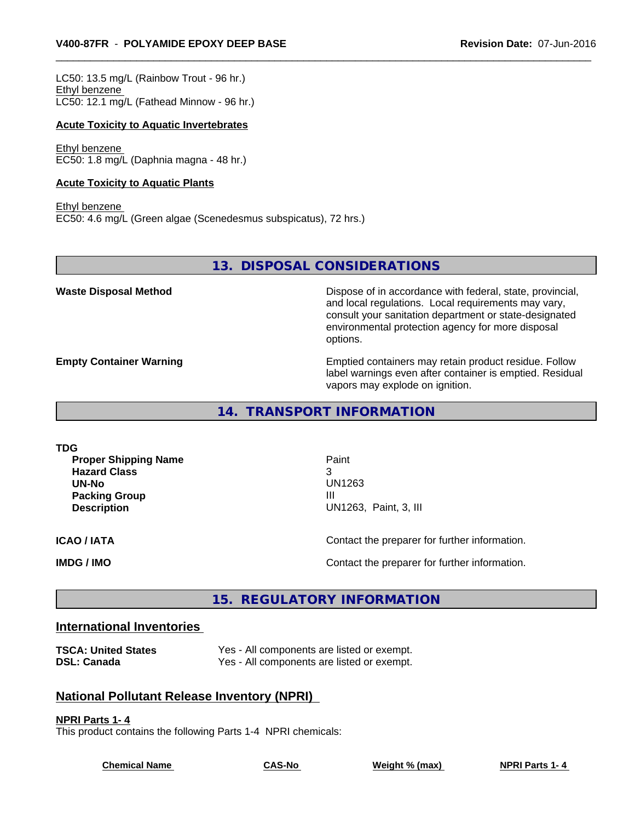LC50: 13.5 mg/L (Rainbow Trout - 96 hr.) Ethyl benzene LC50: 12.1 mg/L (Fathead Minnow - 96 hr.)

#### **Acute Toxicity to Aquatic Invertebrates**

Ethyl benzene EC50: 1.8 mg/L (Daphnia magna - 48 hr.)

#### **Acute Toxicity to Aquatic Plants**

Ethyl benzene EC50: 4.6 mg/L (Green algae (Scenedesmus subspicatus), 72 hrs.)

**13. DISPOSAL CONSIDERATIONS**

**Waste Disposal Method Dispose of in accordance with federal, state, provincial,** and local regulations. Local requirements may vary, consult your sanitation department or state-designated environmental protection agency for more disposal options.

**Empty Container Warning <b>Emptied** Containers may retain product residue. Follow label warnings even after container is emptied. Residual vapors may explode on ignition.

**14. TRANSPORT INFORMATION**

| TDG<br><b>Proper Shipping Name</b><br><b>Hazard Class</b><br>UN-No<br><b>Packing Group</b><br><b>Description</b> | Paint<br>3<br>UN1263<br>Ш<br>UN1263, Paint, 3, III |
|------------------------------------------------------------------------------------------------------------------|----------------------------------------------------|
| <b>ICAO / IATA</b>                                                                                               | Contact the preparer for further information.      |
| IMDG / IMO                                                                                                       | Contact the preparer for further information.      |

## **15. REGULATORY INFORMATION**

## **International Inventories**

| <b>TSCA: United States</b> | Yes - All components are listed or exempt. |
|----------------------------|--------------------------------------------|
| <b>DSL: Canada</b>         | Yes - All components are listed or exempt. |

## **National Pollutant Release Inventory (NPRI)**

### **NPRI Parts 1- 4**

This product contains the following Parts 1-4 NPRI chemicals:

**Chemical Name CAS-No Weight % (max) NPRI Parts 1- 4**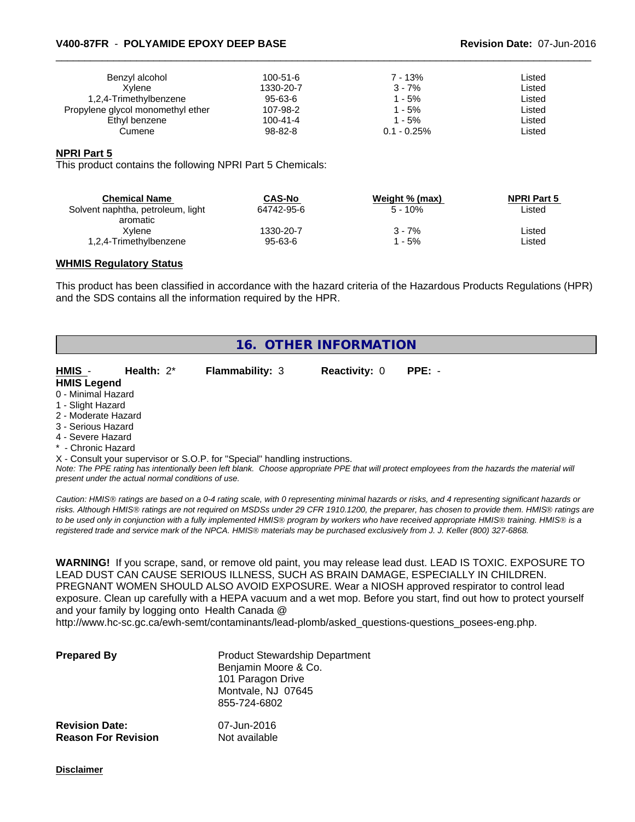#### \_\_\_\_\_\_\_\_\_\_\_\_\_\_\_\_\_\_\_\_\_\_\_\_\_\_\_\_\_\_\_\_\_\_\_\_\_\_\_\_\_\_\_\_\_\_\_\_\_\_\_\_\_\_\_\_\_\_\_\_\_\_\_\_\_\_\_\_\_\_\_\_\_\_\_\_\_\_\_\_\_\_\_\_\_\_\_\_\_\_\_\_\_ **V400-87FR** - **POLYAMIDE EPOXY DEEP BASE Revision Date:** 07-Jun-2016

| Benzyl alcohol<br>Xvlene          | 100-51-6<br>1330-20-7 | $7 - 13%$<br>$3 - 7%$ | Listed<br>Listed |  |
|-----------------------------------|-----------------------|-----------------------|------------------|--|
| 1,2,4-Trimethylbenzene            | 95-63-6               | ' - 5%                | Listed           |  |
| Propylene glycol monomethyl ether | 107-98-2              | - 5%                  | Listed           |  |
| Ethyl benzene                     | $100 - 41 - 4$        | l - 5%                | Listed           |  |
| Cumene                            | 98-82-8               | $0.1 - 0.25\%$        | Listed           |  |

#### **NPRI Part 5**

This product contains the following NPRI Part 5 Chemicals:

| <b>Chemical Name</b><br>Solvent naphtha, petroleum, light | CAS-No<br>64742-95-6 | Weight % (max)<br>$5 - 10%$ | <b>NPRI Part 5</b><br>Listed |  |
|-----------------------------------------------------------|----------------------|-----------------------------|------------------------------|--|
| aromatic                                                  |                      |                             |                              |  |
| Xvlene                                                    | 1330-20-7            | 3 - 7%                      | ∟isted                       |  |
| 1,2,4-Trimethylbenzene                                    | $95 - 63 - 6$        | - 5%                        | ∟isted                       |  |

#### **WHMIS Regulatory Status**

This product has been classified in accordance with the hazard criteria of the Hazardous Products Regulations (HPR) and the SDS contains all the information required by the HPR.

| 16. OTHER INFORMATION |               |                                                                            |                      |          |  |
|-----------------------|---------------|----------------------------------------------------------------------------|----------------------|----------|--|
| HMIS -                | Health: $2^*$ | Flammability: 3                                                            | <b>Reactivity: 0</b> | $PPE: -$ |  |
| <b>HMIS Legend</b>    |               |                                                                            |                      |          |  |
| 0 - Minimal Hazard    |               |                                                                            |                      |          |  |
| 1 - Slight Hazard     |               |                                                                            |                      |          |  |
| 2 - Moderate Hazard   |               |                                                                            |                      |          |  |
| 3 - Serious Hazard    |               |                                                                            |                      |          |  |
| 4 - Severe Hazard     |               |                                                                            |                      |          |  |
| * - Chronic Hazard    |               |                                                                            |                      |          |  |
|                       |               | X - Consult your supervisor or S.O.P. for "Special" handling instructions. |                      |          |  |

*Note: The PPE rating has intentionally been left blank. Choose appropriate PPE that will protect employees from the hazards the material will present under the actual normal conditions of use.*

*Caution: HMISÒ ratings are based on a 0-4 rating scale, with 0 representing minimal hazards or risks, and 4 representing significant hazards or risks. Although HMISÒ ratings are not required on MSDSs under 29 CFR 1910.1200, the preparer, has chosen to provide them. HMISÒ ratings are to be used only in conjunction with a fully implemented HMISÒ program by workers who have received appropriate HMISÒ training. HMISÒ is a registered trade and service mark of the NPCA. HMISÒ materials may be purchased exclusively from J. J. Keller (800) 327-6868.*

**WARNING!** If you scrape, sand, or remove old paint, you may release lead dust. LEAD IS TOXIC. EXPOSURE TO LEAD DUST CAN CAUSE SERIOUS ILLNESS, SUCH AS BRAIN DAMAGE, ESPECIALLY IN CHILDREN. PREGNANT WOMEN SHOULD ALSO AVOID EXPOSURE.Wear a NIOSH approved respirator to control lead exposure. Clean up carefully with a HEPA vacuum and a wet mop. Before you start, find out how to protect yourself and your family by logging onto Health Canada @

http://www.hc-sc.gc.ca/ewh-semt/contaminants/lead-plomb/asked\_questions-questions\_posees-eng.php.

| <b>Prepared By</b>                                  | <b>Product Stewardship Department</b><br>Benjamin Moore & Co.<br>101 Paragon Drive<br>Montvale, NJ 07645<br>855-724-6802 |  |
|-----------------------------------------------------|--------------------------------------------------------------------------------------------------------------------------|--|
| <b>Revision Date:</b><br><b>Reason For Revision</b> | 07-Jun-2016<br>Not available                                                                                             |  |

**Disclaimer**